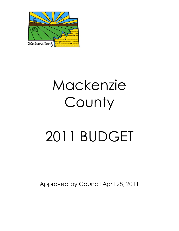

# 2011 BUDGET

Approved by Council April 28, 2011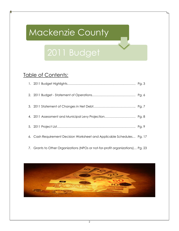## 2011 Budget

## Table of Contents:

| 6. | Cash Requirement Decision Worksheet and Applicable Schedules Pg. 17 |  |
|----|---------------------------------------------------------------------|--|



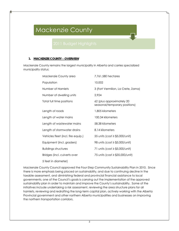## **1. MACKENZIE COUNTY – OVERVIEW**

Mackenzie County remains the largest municipality in Alberta and carries specialized municipality status:

| Mackenzie County area              | 7,761,580 hectares                                         |
|------------------------------------|------------------------------------------------------------|
| Population                         | 10,002                                                     |
| Number of Hamlets                  | 3 (Fort Vermilion, La Crete, Zama)                         |
| Number of dwelling units           | 2,924                                                      |
| Total full time positions          | 62 (plus approximately 20<br>seasonal/temporary positions) |
| Length of roads                    | 1,805 kilometers                                           |
| Length of water mains              | 100.34 kilometers                                          |
| Length of wastewater mains         | 58.38 kilometers                                           |
| Length of stormwater drains        | 8.14 kilometers                                            |
| Vehicles fleet (incl. fire equip.) | 55 units (cost $\ge$ \$5,000/unit)                         |
| Equipment (incl. graders)          | 98 units (cost $\ge$ \$5,000/unit)                         |
| <b>Buildings structures</b>        | 71 units (cost $\ge$ \$5,000/unit)                         |
| Bridges (incl. culverts over       | 75 units (cost ≥ \$35,000/unit)                            |
| 5 feet in diameter)                |                                                            |

Mackenzie County Council approved the Four-Step Community Sustainability Plan in 2010. Since there is more emphasis being placed on sustainability, and due to continuing decline in the taxable assessment, and diminishing federal and provincial financial assistance to local governments, one of the Council's goals is carrying out the implementation of the approved sustainability plan in order to maintain and improve the County's sustainability. Some of the initiatives include undertaking a risk assessment, reviewing the area structure plans for all hamlets, reviewing and redrafting the long-term capital plan, actively working with the Alberta Provincial government and other northern Alberta municipalities and businesses on improving the northern transportation corridors.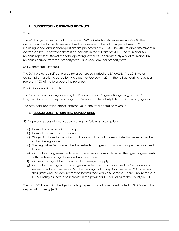## **2. BUDGET 2011 - OPERATING REVENUES**

### Taxes

The 2011 projected municipal tax revenue is \$22.3M which is 3% decrease from 2010. The decrease is due to the decrease in taxable assessment. The total property taxes for 2011 including school and senior requisitions are projected at \$29.5M. The 2011 taxable assessment is decreased by 2%; however, there is no increase in the mill rate for 2011. The municipal tax revenue represents 87% of the total operating revenues. Approximately 45% of municipal tax revenues derived from real property taxes, and 55% from liner property taxes.

## Self-Generating Revenues

The 2011 projected self-generated revenues are estimated at \$3,190,056. The 2011 water consumption rate is increased by 14% effective February 1, 2011. The self-generating revenues represent 10% of the total operating revenues.

Provincial Operating Grants

The County is anticipating receiving the Resource Road Program, Bridge Program, FCSS Program, Summer Employment Program, Municipal Sustainability Initiative (Operating) grants.

The provincial operating grants represent 3% of the total operating revenue.

## **3. BUDGET 2011 - OPERATING EXPENDITURES**

2011 operating budget was prepared using the following assumptions:

- a) Level of service remains status quo.
- b) Level of staff remains status quo.
- c) Wages & salaries for unionized staff are calculated at the negotiated increase as per the Collective Agreement.
- d) The Legislative Department budget reflects changes in honorariums as per the approved bylaw.
- e) Grants to local governments reflect the estimated amounts as per the signed agreements with the Towns of High Level and Rainbow Lake.
- f) Gravel crushing will be conducted for three-year supply.
- g) Grants to other organization budgets include amounts as approved by Council upon a review of individual requests. Mackenzie Regional Library Board received 2% increase in their grant and the local recreation boards received 2.5% increase. There is no increase in FCSS funding as there is no increase in the provincial FCSS funding to the County in 2011.

The total 2011 operating budget including depreciation of assets is estimated at \$35.5M with the depreciation being \$6.4M.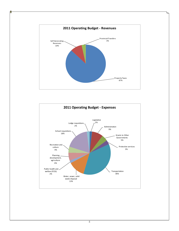

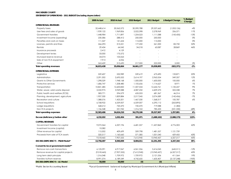#### **MACKENZIE COUNTY**

**STATEMENT OF OPERATIONS - 2011 BUDGET (including depreciation)**

|                                          | 2009 Actual | 2010 Actual | 2010 Budget | 2011 Budget  | \$ Budget Change | % Budget<br>Change |
|------------------------------------------|-------------|-------------|-------------|--------------|------------------|--------------------|
| <b>OPERATIONAL REVENUES</b>              |             |             |             |              |                  |                    |
| Property taxes                           | 32,448,614  | 30.562.572  | 30.590.788  | 29.537.662   | (1,053,126)      | $-4%$              |
| User fees and sales of goods             | 1,939,122   | 1,969,856   | 2,022,398   | 2,278,969    | 256,571          | 11%                |
| Government transfers                     | 1,448,984   | 1,711,897   | 1,254,523   | 1,111,088    | (143, 435)       | $-13%$             |
| Investment income (operating)            | 230,586     | 288,412     | 250,000     | 250,000      |                  | 0%                 |
| Penalties and costs on taxes             | 111,547     | 141,654     | 115,000     | 115,000      | L.               | 0%                 |
| Licenses, permits and fines              | 266,293     | 313,221     | 177,250     | 261,000      | 83,750           | 32%                |
| Rentals                                  | 29,434      | 64,542      | 34,218      | 63,087       | 28.869           | 46%                |
| Insurance proceeds                       | 2,412       | 4,129       |             |              |                  |                    |
| Development levies                       | 33,000      | 175,572     |             |              |                  |                    |
| Muncipal reserve revenue                 | 34,074      | 105,063     |             |              |                  |                    |
| Sale of non-TCA equipment                | 7,913       | 6,056       |             |              |                  |                    |
| Other                                    | 263,459     | 313,690     | 217,000     | 222,000      | 5,000            | 2%                 |
| <b>Total operating revenues</b>          | 36,815,438  | 35,656,664  | 34,661,177  | 33,838,805   | (822, 371)       | $-2%$              |
| <b>OPERATIONAL EXPENSES</b>              |             |             |             |              |                  |                    |
| Legislative                              | 559,407     | 532,989     | 539,619     | 673,490      | 133,871          | 20%                |
| Administration                           | 2,291,302   | 2,695,552   | 2,614,197   | 2.963.554    | 349.357          | 12%                |
| <b>Grants to Other Governments</b>       | 1,298,329   | 1,948,168   | 1,500,000   | 1,600,000    | 100,000          | 6%                 |
| Protective services                      | 1,686,747   | 1,208,480   | 1,105,656   | 1,114,627    | 8,971            | 1%                 |
| Transportation                           | 10,841,485  | 12,600,850  | 11,507,534  | 12,642,761   | 1,135,227        | 9%                 |
| Water, sewer, solid waste disposal       | 3,532,975   | 3,949,088   | 4,087,232   | 4,409,570    | 322,338          | 7%                 |
| Public health and welfare (FCSS)         | 583,771     | 594,579     | 635,053     | 681,367      | 46,314           | 7%                 |
| Planning, development, agriculture       | 1,907,330   | 1,859,884   | 2,217,045   | 2,074,589    | (142, 456)       | $-7%$              |
| Recreation and culture                   | 1,388,576   | 1,423,201   | 1,467,530   | 1,568,317    | 100,787          | $6\%$              |
| School requisitions                      | 6,768,922   | 6,559,007   | 6,559,007   | 6,295,112    | (263, 895)       |                    |
| Lodge requisitions                       | 568,212     | 720,470     | 720,470     | 719,088      | (1, 382)         |                    |
| Non-TCA projects                         | 1,156,348   | 531,942     | 1,316,763   | 785,433      | (531, 330)       | $-68%$             |
| <b>Total operating expenses</b>          | 32,583,406  | 34,624,210  | 34,270,106  | 35,527,907   | 1,257,801        | 4%                 |
| Excess (deficiency) before other         | 4,232,032   | 1,032,454   | 391,071     | (1,689,102)  | (2,080,173)      | 123%               |
| <b>CAPITAL REVENUES</b>                  |             |             |             |              |                  |                    |
| Government transfers for capital         | 9,072,364   | 6,337,196   | 6,681,557   | 11,457,860   | 4,776,303        | 42%                |
| Investment income (capital)              | 10,082      |             |             |              |                  |                    |
| Other revenue for capital                | 115,502     | 409,699     | 359,798     | 1,481,557    | 1,121,759        |                    |
| Proceeds from sale of TCA assets         | 320,517     | 1,160,660   | 571,585     | 1,001,040    | 429,455          | 43%                |
|                                          | 9,518,465   | 7,907,555   | 7,612,940   | 13,940,457   | 6,327,517        | 45%                |
| <b>EXCESS (DEFICIENCY) - PSAB Model*</b> | 13,750,497  | 8,940,009   | 8,004,011   | 12,251,355   | 4,247,344        | 35%                |
| Convert to local government model**      |             |             |             |              |                  |                    |
| Remove non-cash transactions             | 6,125,091   | 6,917,067   | 6,061,556   | 5,416,045    | (645, 511)       | $-12%$             |
| Remove revenue for capital projects      | (9,518,465) | (7,907,555) | (7,612,940) | (13,940,457) | (6,327,517)      | 45%                |
| Long term debt principle                 | 1,316,048   | 1,709,972   | 1,709,972   | 2,121,536    | 411,564          | 19%                |
| Transfers to/from reserves               | 8,991,074   | 6,189,549   | 4,742,655   | 1,605,407    | (3, 137, 248)    | $-195%$            |
| <b>EXCESS (DEFICIENCY) - LG Model</b>    | 50,000      | 50,000      | (0)         | (0)          | $\mathbf 0$      | 0%                 |

*\*Public Sector Accounting Board \*\*Local Government - balanced budget by Municipal Government Act (Municipal Affairs)*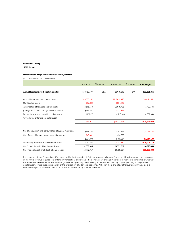#### **2011 Budget**

#### **Statement of Change in Net Financial Asset/(Net Debt)**

(Financial Assets less Financial Liabilities)

|                                                          | 2009 Actual    | % change | 2010 Actual      | % change | 2011 Budget       |
|----------------------------------------------------------|----------------|----------|------------------|----------|-------------------|
| Annual Surplus/(Deficit) (before capital)                | \$13,750,497   | $-35%$   | \$8,940,010      | 37%      | \$12,251,355      |
| Acquisition of tangible capital assets                   | (\$16,580,142) |          | (\$15,693,498)   |          | $($ \$38,676,559) |
| Contributed assets                                       | (\$19,230)     |          | ( \$334, 140)    |          |                   |
| Amortization of tangible capital assets                  | \$4,616,513    |          | \$6,010,706      |          | \$6,430,184       |
| (Gain)/Loss on sale of tangible capital assets           | \$343,331      |          | (\$421,655)      |          |                   |
| Proceeds on sale of tangible capital assets              | \$320,517      |          | \$1,160,660      |          | \$1,001,040       |
| Write-downs of tangible capital assets                   |                |          |                  |          |                   |
|                                                          | (\$11,319,011) |          | $($ \$9,277,927) |          | (\$18,993,980)    |
| Net of acquisition and consumption of supply inventories | \$844,729      |          | \$167,357        |          | (\$1,014,139)     |
| Net of acquisition and use of prepaid expense            | ( \$43, 331)   |          | \$25,880         |          |                   |
|                                                          | \$801,398      |          | \$193,237        |          | (\$1,014,139)     |
| Increase/ (Decrease) in net financial assets             | \$3,232,884    |          | (\$144,680)      |          | (\$20,008,119)    |
| Net financial assets at beginning of year                | \$1,539,885    |          | \$4,772,769      |          | \$4,628,089       |
| Net financial assets/(net debt) at end of year           | \$4,772,769    |          | \$4,628,089      |          | (\$15,380,030)    |

The government's net financial asset/net debt position is often called its "future revenue requirements" because this indicator provides a measure of the future revenue required to pay for past transactions and events. The government's change in net debt in the year is a measure of whether the revenues raised were sufficient to cover government spending. The spending in the year includes any capital spending to acquire new capital assets. It provides an indication of the affordability of additional spending. Although there are a few other sustainability indicators, a trend showing increases in net debt or reductions in net assets may not be sustainable.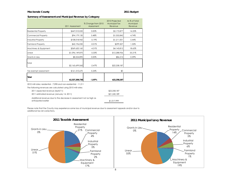#### **Mackenzie County 2011 Budget**

#### **Summary of Assessment and Municipal Revenue by Category**

|                                                                                                                                   | 2011 Assessment | % Change from 2010<br>Assessment | 2010 Projected<br><b>Municipal Tax</b><br>Revenue | As % of Total<br>Municipal<br>Revenue |  |  |
|-----------------------------------------------------------------------------------------------------------------------------------|-----------------|----------------------------------|---------------------------------------------------|---------------------------------------|--|--|
| <b>Residential Property</b>                                                                                                       | \$447,010,020   | 0.00%                            | \$3,172,877                                       | 14.25%                                |  |  |
| <b>Commercial Property</b>                                                                                                        | \$94,179,130    | 5.48%                            | \$1,055,842                                       | 4.74%                                 |  |  |
| <b>Industrial Property</b>                                                                                                        | \$108,018,960   | $-5.19%$                         | \$1,211,001                                       | 5.44%                                 |  |  |
| <b>Farmland Property</b>                                                                                                          | \$42,196,030    | $-0.01%$                         | \$299,507                                         | 1.35%                                 |  |  |
| Machinery & Equipment                                                                                                             | \$369,620,160   | $-4.31%$                         | \$4,143,812                                       | 18.62%                                |  |  |
| Linear                                                                                                                            | \$1,096,149,870 | $-5.33%$                         | \$12,288,936                                      | 55.21%                                |  |  |
| Grants in Lieu                                                                                                                    | \$8,524,890     | 0.00%                            | \$86,212                                          | 0.39%                                 |  |  |
| Total                                                                                                                             | \$2,165,699,060 | $-2.47%$                         | \$22,258,187                                      |                                       |  |  |
| Tax exempt assessment                                                                                                             | \$161,510,670   | 5.24%                            | \$0                                               |                                       |  |  |
| Total                                                                                                                             | \$2,327,209,730 | $-1.97%$                         | \$22,258,187                                      |                                       |  |  |
| 2010 mill rates: residential - 7.098 and non-residential - 11.211<br>The following revenues are calculated using 2010 mill rates: |                 |                                  |                                                   |                                       |  |  |
| 2011 expected revenue (April/11)<br>2011 estimated revenue (January 14, 2011)                                                     |                 | \$22,258,187<br>\$21,240,189     |                                                   |                                       |  |  |
| Additional revenue due to the decrease in assessment not as high as<br>anticipated earlier                                        |                 |                                  | \$1,017,999                                       |                                       |  |  |

Please note that the County may experience some loss of municipal revenue due to assessment appeals and/or due to additional tax roll corrections.



Property 5% Industrial Property 6% Farmland Property  $1\%$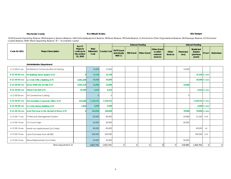#### **2011 Budget**

*\*GOR-General Operating Reserve; ER-Emergency Services Reserve; V&E-Vehicle&Equipment Reserve; RR-Road Reserve; PR-Parks Reserve; Gr.R-Grants to Other Organizations Reserve; DR-Drainage Reserve; GCR-General Capital Reserve; WUR- Water Upgrading Reserve; "IC" - incomplete capital*

|               |                            | <b>For CF</b>                                                          |                      |                                             | <b>External Funding</b> | <b>Internal Funding</b> |                                                       |                  |                   |                                                     |          |           |
|---------------|----------------------------|------------------------------------------------------------------------|----------------------|---------------------------------------------|-------------------------|-------------------------|-------------------------------------------------------|------------------|-------------------|-----------------------------------------------------|----------|-----------|
| Code for 2011 | <b>Project Description</b> | <b>Projects</b><br>$\vert$ costs up to $\vert$<br>December<br>31, 2010 | <b>Total</b><br>Cost | 1 - to   Estimated County Cost   FGTF Grant | (previously)<br>NDCC)   | MSI Grant   Other Grant | <b>Other Grant</b><br>or other<br>external<br>sources | Other<br>Sources | Municipal<br>Levy | Restricted<br><b>Surplus</b><br>(previous<br>years) | RS-type* | Debenture |

#### **Administration Department**

| 6-12-30-01-xxx           | ZA-Distance Communication & Training     |                | 10,000    | 10,000    |               |   |  | 10,000  |                  |               |               |
|--------------------------|------------------------------------------|----------------|-----------|-----------|---------------|---|--|---------|------------------|---------------|---------------|
| $6 - 12 - 30 - 02 - XXX$ | <b>FV Building Alarm System (CF)</b>     | $\Omega$       | 13,128    | 13,128    |               |   |  |         |                  | 13,128 IC-Adm |               |
| $6 - 12 - 30 - 03 - XXX$ | La Crete Office Building (CF)            | 3,061,358      | 35,000    | 35,000    |               |   |  |         |                  | 35,000 IC-Adm |               |
| $6 - 12 - 30 - 04 - XXX$ | Zama Multi-Use Facility (CF)             | 3,031,416      | 15,000    | 15,000    |               |   |  | 15,000  |                  |               |               |
| $6 - 12 - 30 - 05 - XXX$ | <b>Virtual City Hall (CF)</b>            | 15,585         | 4,415     | 4,415     |               |   |  |         |                  | 4,415 IC-Adm  |               |
| 6-12-30-06-xxx           | ZA-Cornerstone Curbing                   |                | $\Omega$  |           |               |   |  |         |                  |               |               |
| $6 - 12 - 30 - 07 - XXX$ | Fort Vermilion Corporate Office (CF)     | 474,288        | 1,120,151 | 1,120,151 |               |   |  |         | 1,120,151 IC-Adm |               |               |
| 6-12-30-09-xxx           | La Crete Library Building (CF)           | 1,950          | 3,050     | 3,050     |               |   |  |         |                  | 3,050 IC-Adm  |               |
| $6 - 12 - 30 - 10 - XXX$ | Land Purchase in the Hamlet of Zama (CF) | $\overline{0}$ | 140,000   | 140,000   |               |   |  | 70,000  |                  | 70,000 IC-Adm |               |
| 6-12-30-11-xxx           | FV-Records Management System             |                | 85,000    | 85,000    |               |   |  | 53,980  | 31,020           | GOR           |               |
| 6-12-30-13-xxx           | LC-County Sign                           |                | 20,000    | 20,000    |               |   |  | 20,000  |                  |               |               |
| $6 - 12 - 30 - 14 - XXX$ | Handi-van replacement (La Crete)         |                | 83,000    | 83,000    |               |   |  |         | 83,000           | ER            |               |
| 6-12-30-15-xxx           | Land Purchases from AB SRD               |                | 245,000   | 245,000   |               |   |  |         | 245,000          | <b>GCR</b>    |               |
| $6 - 12 - 30 - 16 - XXX$ | Xerox Replacement (La Crete)             |                | 50,000    | 50,000    |               |   |  | 50,000  |                  |               |               |
|                          | Total department 12                      |                | 1,823,744 | 1,823,744 | $\mathcal{O}$ | 0 |  | 218,980 | 1,604,764        |               | $\mathcal{O}$ |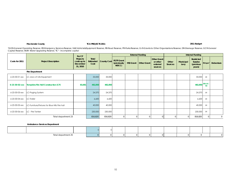#### **2011 Budget**

*\*GOR-General Operating Reserve; ER-Emergency Services Reserve; V&E-Vehicle&Equipment Reserve; RR-Road Reserve; PR-Parks Reserve; Gr.R-Grants to Other Organizations Reserve; DR-Drainage Reserve; GCR-General Capital Reserve; WUR- Water Upgrading Reserve; "IC" - incomplete capital*

|                |                                                | For CF                                          |                            |             | <b>External Funding</b>                   |                  |                    |                                                       |                  |                   | Internal Funding                             |           |                  |
|----------------|------------------------------------------------|-------------------------------------------------|----------------------------|-------------|-------------------------------------------|------------------|--------------------|-------------------------------------------------------|------------------|-------------------|----------------------------------------------|-----------|------------------|
| Code for 2011  | <b>Project Description</b>                     | Projects<br>costs up to<br>December<br>31, 2010 | Total<br>Estimated<br>Cost | County Cost | <b>FGTF Grant</b><br>(previously<br>NDCC) | <b>MSI Grant</b> | <b>Other Grant</b> | <b>Other Grant</b><br>or other<br>external<br>sources | Other<br>Sources | Municipal<br>Levy | Restricted<br>Surplus<br>(previous<br>years) | RS-type*  | <b>Debenture</b> |
|                | <b>Fire Department</b>                         |                                                 |                            |             |                                           |                  |                    |                                                       |                  |                   |                                              |           |                  |
| 6-23-30-01-xxx | LC-Jaws of Life Equipment                      |                                                 | 33,000                     | 33,000      |                                           |                  |                    |                                                       |                  |                   | 33,000                                       | ER        |                  |
| 6-23-30-02-xxx | <b>Tompkins Fire Hall Construction (CF)</b>    | 83,681                                          | 482,850                    | 482,850     |                                           |                  |                    |                                                       |                  |                   | 482,850 ER & IC-1                            | <b>FD</b> |                  |
| 6-23-30-03-xxx | LC-Paging System                               |                                                 | 24,370                     | 24,370      |                                           |                  |                    |                                                       |                  |                   | 24,370                                       | ER        |                  |
| 6-23-30-04-xxx | LC-Trailer                                     |                                                 | 6,600                      | 6,600       |                                           |                  |                    |                                                       |                  |                   | 6,600                                        | ER        |                  |
| 6-23-30-05-xxx | LC-Furniture/Fixtures for Blue Hills Fire hall |                                                 | 40,000                     | 40,000      |                                           |                  |                    |                                                       |                  |                   | 40,000                                       | ER        |                  |
| 6-23-30-06-xxx | LC - Fire Tanker                               |                                                 | 230,000                    | 230,000     |                                           |                  |                    |                                                       |                  |                   | 230,000                                      | ER        |                  |
|                | Total department 23                            |                                                 | 816,820                    | 816,820     | 0                                         |                  | n                  | O                                                     | 0                | $\Omega$          | 816,820                                      | 0         | 0                |

#### **Ambulance Services Department**

| Total department .<br>. |  |  |  |  |  |  |
|-------------------------|--|--|--|--|--|--|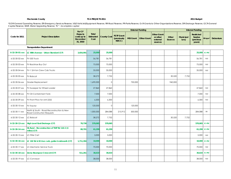#### **2011 Budget**

*\*GOR-General Operating Reserve; ER-Emergency Services Reserve; V&E-Vehicle&Equipment Reserve; RR-Road Reserve; PR-Parks Reserve; Gr.R-Grants to Other Organizations Reserve; DR-Drainage Reserve; GCR-General Capital Reserve; WUR- Water Upgrading Reserve; "IC" - incomplete capital*

|                          |                                                                         | For CF                                                 |                            |                    | <b>External Funding</b>                   |                  |                    |                                                       |                         | <b>Internal Funding</b> |                                                     |              |                  |  |
|--------------------------|-------------------------------------------------------------------------|--------------------------------------------------------|----------------------------|--------------------|-------------------------------------------|------------------|--------------------|-------------------------------------------------------|-------------------------|-------------------------|-----------------------------------------------------|--------------|------------------|--|
| Code for 2011            | <b>Project Description</b>                                              | Projects<br>costs up to<br><b>December</b><br>31, 2010 | Total<br>Estimated<br>Cost | <b>County Cost</b> | <b>FGTF Grant</b><br>(previously<br>NDCC) | <b>MSI Grant</b> | <b>Other Grant</b> | <b>Other Grant</b><br>or other<br>external<br>sources | Other<br><b>Sources</b> | Municipal<br>Levy       | <b>Restricted</b><br>Surplus<br>(previous<br>years) | RS-type*     | <b>Debenture</b> |  |
|                          | <b>Transportation Department</b>                                        |                                                        |                            |                    |                                           |                  |                    |                                                       |                         |                         |                                                     |              |                  |  |
| 6-32-30-01-xxx           | LC 98th Avenue - Urban Standard (CF)                                    | 3,654,991                                              | 25,000                     | 25,000             |                                           |                  |                    |                                                       |                         |                         | 25,000                                              | <b>IC-PW</b> |                  |  |
| 6-32-30-02-xxx           | FV-550 Truck                                                            |                                                        | 56,781                     | 56,781             |                                           |                  |                    |                                                       |                         |                         | 56,781                                              | V&E          |                  |  |
| 6-32-30-03-xxx           | FV-Backhoe Buy Out                                                      |                                                        | 75,000                     | 75,000             |                                           |                  |                    |                                                       |                         |                         | 75,000                                              | V&E          |                  |  |
| 6-32-30-04-xxx           | FV-1 3/4 ton Crew Cab Trucks                                            |                                                        | 35,000                     | 35,000             |                                           |                  |                    |                                                       |                         |                         | 35,000                                              | V&E          |                  |  |
| 6-32-30-05-xxx           | FV-Bobcat                                                               |                                                        | 38,272                     | 7,752              |                                           |                  |                    |                                                       | 30,520                  | 7,752                   |                                                     |              |                  |  |
| 6-32-30-06-xxx           | <b>Grader Replacement</b>                                               |                                                        | 1,690,000                  | $\Omega$           |                                           | 750,000          |                    |                                                       | 940,000                 |                         |                                                     |              |                  |  |
| 6-32-30-07-xxx           | FV-Sweeper for Wheel Loader                                             |                                                        | 27,860                     | 27,860             |                                           |                  |                    |                                                       |                         |                         | 27,860                                              | V8.E         |                  |  |
| 6-32-30-08-xxx           | FV-Oil Containment Tank                                                 |                                                        | 7,000                      | 7,000              |                                           |                  |                    |                                                       |                         |                         | 7,000                                               | V&E          |                  |  |
| 6-32-30-09-xxx           | FV-Front Plow for Unit 2252                                             |                                                        | 6,300                      | 6,300              |                                           |                  |                    |                                                       |                         |                         | 6,300                                               | V&E          |                  |  |
| 6-32-30-10-xxx           | <b>FV-Tractor</b>                                                       |                                                        | 120,000                    | $\mathbf{0}$       |                                           | 120,000          |                    |                                                       |                         |                         |                                                     |              |                  |  |
| 6-32-30-11-xxx           | North & South - Road Reconstruction & New<br>Road Construction Requests |                                                        | 1,000,000                  | 284,088            | 215,912                                   | 500,000          |                    |                                                       |                         |                         | 284,088                                             | RR           |                  |  |
| 6-32-30-12-xxx           | LC-Bobcat                                                               |                                                        | 38,272                     | 7,752              |                                           |                  |                    |                                                       | 30,520                  | 7,752                   |                                                     |              |                  |  |
| 6-32-30-13-xxx           | <b>High Level East Drainage (CF)</b>                                    | 78,730                                                 | 570,065                    | 570,065            |                                           |                  |                    |                                                       |                         |                         | 570,065                                             | IC-PW        |                  |  |
| 6-32-30-14-xxx           | HL Rural - Reconstruction of TWP Rd 110-2 (4<br>miles) (CF)             | 88,701                                                 | 61,299                     | 61,299             |                                           |                  |                    |                                                       |                         |                         | 61,299                                              | IC-PW        |                  |  |
| 6-32-30-15-xxx           | <b>LC-Filter Cart</b>                                                   |                                                        | 5,000                      | 5,000              |                                           |                  |                    |                                                       |                         |                         | 5,000                                               | V&E          |                  |  |
| 6-32-30-16-xxx           | LC 102 Str & 92 Ave curb, gutter & sidewalk (CF)                        | 1,711,394                                              | 10,000                     | 10,000             |                                           |                  |                    |                                                       |                         |                         | 10,000                                              | IC-PW        |                  |  |
| 6-32-30-17-xxx           | LC-Mechanic Service Truck                                               |                                                        | 70,000                     | 70,000             |                                           |                  |                    |                                                       |                         |                         | 70,000                                              | $V\&E$       |                  |  |
| $6 - 32 - 30 - 18 - XXX$ | Zama Bearspaw Crescent (CF)                                             | 511,261                                                | 30,633                     | 30,633             |                                           |                  |                    |                                                       |                         |                         | 30,633                                              | IC-PW        |                  |  |
| 6-32-30-19-xxx           | LC-Conveyor                                                             |                                                        | 38,000                     | 38,000             |                                           |                  |                    |                                                       |                         |                         | 38,000                                              | V&E          |                  |  |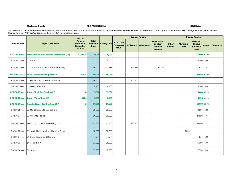#### **2011 Budget**

*\*GOR-General Operating Reserve; ER-Emergency Services Reserve; V&E-Vehicle&Equipment Reserve; RR-Road Reserve; PR-Parks Reserve; Gr.R-Grants to Other Organizations Reserve; DR-Drainage Reserve; GCR-General Capital Reserve; WUR- Water Upgrading Reserve; "IC" - incomplete capital*

|                          |                                               | For CF                                          |                                   |                    | <b>External Funding</b>                   |                  |                    |                                                       | <b>Internal Funding</b> |                   |                                                     |             |                  |  |
|--------------------------|-----------------------------------------------|-------------------------------------------------|-----------------------------------|--------------------|-------------------------------------------|------------------|--------------------|-------------------------------------------------------|-------------------------|-------------------|-----------------------------------------------------|-------------|------------------|--|
| Code for 2011            | <b>Project Description</b>                    | Projects<br>costs up to<br>December<br>31, 2010 | Total<br><b>Estimated</b><br>Cost | <b>County Cost</b> | <b>FGTF Grant</b><br>(previously<br>NDCC) | <b>MSI Grant</b> | <b>Other Grant</b> | <b>Other Grant</b><br>or other<br>external<br>sources | Other<br><b>Sources</b> | Municipal<br>Levy | <b>Restricted</b><br>Surplus<br>(previous<br>years) | RS-type*    | <b>Debenture</b> |  |
| $6 - 32 - 30 - 20 - XXX$ | Fort Vermilion River Road Reconstruction (CF) | 1,130,974                                       | 10,000                            | 10,000             |                                           |                  |                    |                                                       |                         |                   | 10,000                                              | IC-PW       |                  |  |
| 6-32-30-21-xxx           | LC-Truck                                      |                                                 | 35,000                            | 35,000             |                                           |                  |                    |                                                       |                         |                   | 35,000                                              | V&E         |                  |  |
| 6-32-30-22-xxx           | LC-100th Avenue (West of ATB Financial)       |                                                 | 1,000,000                         | 71,676             |                                           | 743,344          |                    | 184,980                                               |                         |                   | 71,676                                              | <b>RR</b>   |                  |  |
| 6-32-30-23-xxx           | <b>Road Construction Request (CF)</b>         | 183,924                                         | 66,076                            | 66,076             |                                           |                  |                    |                                                       |                         |                   | 66,076 IC-PW                                        |             |                  |  |
| 6-32-30-24-xxx           | <b>LC-Recreation Centre Storm Sewers</b>      |                                                 | 100,000                           | $\Omega$           |                                           | 100,000          |                    |                                                       |                         |                   |                                                     |             |                  |  |
| 6-32-30-25-xxx           | <b>LC-Pressure Washer</b>                     |                                                 | 14,700                            | 14,700             |                                           |                  |                    |                                                       |                         |                   | 14,700                                              | V&E         |                  |  |
| $6 - 32 - 30 - 27 - XXX$ | Zama - Truck Box Sander (CF)                  | $\Omega$                                        | 15,000                            | 15,000             |                                           |                  |                    |                                                       |                         |                   | 15,000                                              | IC-PW       |                  |  |
| 6-32-30-28-xxx           | Zama - Water Tank (CF)                        | 3,684                                           | 3,995                             | 3,995              |                                           |                  |                    |                                                       |                         |                   |                                                     | 3,995 IC-PW |                  |  |
| 6-32-30-29-xxx           | Apache Road - Pull Out Area (CF)              | $\mathbf{0}$                                    | 50,000                            | 50,000             |                                           |                  |                    |                                                       |                         |                   | 50,000 IC-PW                                        |             |                  |  |
| 6-32-30-30-xxx           | LC-Cold Storage Shed/Tool Crib                |                                                 | 70,000                            | 70,000             |                                           |                  |                    |                                                       |                         |                   | 70,000                                              | V&E         |                  |  |
| 6-32-30-31-xxx           | <b>LC-PW Shop Fence</b>                       |                                                 | 29,520                            | 29,520             |                                           |                  |                    |                                                       |                         |                   | 29,520                                              | RR          |                  |  |
| 6-32-30-32-xxx           | ZA-Paving Cornerstone Parking Lot             |                                                 | 305,840                           | 85,840             |                                           | 220,000          |                    |                                                       |                         |                   | 85,840                                              | <b>RR</b>   |                  |  |
| 6-32-30-33-xxx           | ZA-Hamlet Entrance Beautification Project     |                                                 | 10,000                            | 10,000             |                                           |                  |                    |                                                       |                         | 10,000            |                                                     |             |                  |  |
| 6-32-30-34-xxx           | ZA-Grass Seeder and Disc Unit                 |                                                 | 11,274                            | 11,274             |                                           |                  |                    |                                                       |                         |                   | 11,274                                              | V&E         |                  |  |
| 6-32-30-35-xxx           | ZA-Vehicle (PW)                               |                                                 | 35,000                            | 35,000             |                                           |                  |                    |                                                       |                         |                   | 35,000                                              | V&E         |                  |  |
| 6-32-30-36-xxx           | ZA-Mower                                      |                                                 | 17,730                            | 17,730             |                                           |                  |                    |                                                       |                         |                   | 17,730                                              | V&E         |                  |  |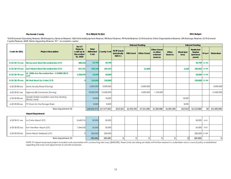#### **2011 Budget**

*\*GOR-General Operating Reserve; ER-Emergency Services Reserve; V&E-Vehicle&Equipment Reserve; RR-Road Reserve; PR-Parks Reserve; Gr.R-Grants to Other Organizations Reserve; DR-Drainage Reserve; GCR-General Capital Reserve; WUR- Water Upgrading Reserve; "IC" - incomplete capital*

|                          | <b>Project Description</b>                                 | For CF                                          |                            |                              |                                           |                  | <b>External Funding</b> |                                                       |                  |                   | <b>Internal Funding</b>                             |          |                  |
|--------------------------|------------------------------------------------------------|-------------------------------------------------|----------------------------|------------------------------|-------------------------------------------|------------------|-------------------------|-------------------------------------------------------|------------------|-------------------|-----------------------------------------------------|----------|------------------|
| Code for 2011            |                                                            | Projects<br>costs up to<br>December<br>31, 2010 | Total<br>Estimated<br>Cost | <b>County Cost</b>           | <b>FGTF Grant</b><br>(previously<br>NDCC) | <b>MSI Grant</b> | <b>Other Grant</b>      | <b>Other Grant</b><br>or other<br>external<br>sources | Other<br>Sources | Municipal<br>Levy | Restricted<br><b>Surplus</b><br>(previous<br>years) | RS-type* | <b>Debenture</b> |
| $6 - 32 - 30 - 71 - XXX$ | <b>Rocky Lane Road Reconstruction (CF)</b>                 | 289,210                                         | 10,790                     | 10,790                       |                                           |                  |                         |                                                       |                  |                   | 10,790 IC-PW                                        |          |                  |
| $6 - 32 - 30 - 75 - XXX$ | <b>AJA Friesen Road Reconstruction (CF)</b>                | 971,751                                         | 189,168                    | 167,472                      |                                           |                  | 21,696                  |                                                       |                  | 2,410             | 165,062 IC-PW                                       |          |                  |
| $6 - 32 - 30 - 78 - XXX$ | LC 100th Ave Reconstruction - CAMRIF (BCF)<br>(CF)         | 1,350,070                                       | 10,000                     | 10,000                       |                                           |                  |                         |                                                       |                  |                   | 10,000 IC-PW                                        |          |                  |
| $6 - 32 - 30 - 79 - XXX$ | RV Park Road (La Crete) (CF)                               |                                                 | 120,000                    | 120,000                      |                                           |                  |                         |                                                       |                  |                   | 120,000 IC-PW                                       |          |                  |
| 6-32-30-80-xxx           | Zama Access Road (Paving)                                  |                                                 | 6,000,000                  | 3,000,000                    |                                           |                  | 3,000,000               |                                                       |                  |                   |                                                     |          | 3,000,000        |
| 6-32-30-81-xxx           | Highway 88 Connector (Paving)                              |                                                 | 18,000,000                 | 12,400,000                   |                                           |                  | 4,500,000               | ,100,000                                              |                  |                   |                                                     |          | 12,400,000       |
| 6-32-30-82-xxx           | Grader Shelter Insullation and Gas Heating<br>(Rocky Lane) |                                                 | 18,000                     | 18,000                       |                                           |                  |                         |                                                       |                  | 18,000            |                                                     |          |                  |
| 6-32-30-83-xxx           | FV Doors for the Storage Shed                              |                                                 | 8,000                      | 8,000                        |                                           |                  |                         |                                                       |                  | 8,000             |                                                     |          |                  |
|                          | Total department 32                                        |                                                 |                            | \$30,034,575<br>\$17,577,603 | \$215,912                                 | \$2,433,344      | \$7,521,696             | \$1,284,980                                           | \$1,001,040      | \$53,914          | \$2,123,689                                         | \$0      | \$15,400,000     |

#### **Airport Department**

|                     | 6-33-30-01-xxx La Crete Airport (CF)       | 2,642,916 | 50,000  | 50,000  |  |  |  | 50,000         | <b>GCR</b> |  |
|---------------------|--------------------------------------------|-----------|---------|---------|--|--|--|----------------|------------|--|
|                     | 6-33-30-02-xxx Fort Vermilion Airport (CF) | ,344,632  | 35,000  | 35,000  |  |  |  | 35,000         | GCR        |  |
|                     | 6-33-30-03-xxx Zama Airport (Helipad) (CF) |           | 200,000 | 200,000 |  |  |  | 200,000 IC-ARP |            |  |
| Total department 33 |                                            |           | 285,000 | 285,000 |  |  |  | 285,000        |            |  |

NOTE: FV airport proposed project included costs associated with constructing taxi-ways (\$440,000); these funds are being set aside until further research is undertaken and a council policy is established regarding taxi-ways and approaches to private businesses.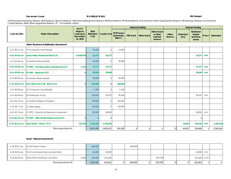#### **2011 Budget**

*\*GOR-General Operating Reserve; ER-Emergency Services Reserve; V&E-Vehicle&Equipment Reserve; RR-Road Reserve; PR-Parks Reserve; Gr.R-Grants to Other Organizations Reserve; DR-Drainage Reserve; GCR-General Capital Reserve; WUR- Water Upgrading Reserve; "IC" - incomplete capital*

|                          | For CF                                                  |                                                        |                            |                    |                                           |                  | <b>External Funding</b> |                                                       | <b>Internal Funding</b> |                   |                                                            |            |                  |  |
|--------------------------|---------------------------------------------------------|--------------------------------------------------------|----------------------------|--------------------|-------------------------------------------|------------------|-------------------------|-------------------------------------------------------|-------------------------|-------------------|------------------------------------------------------------|------------|------------------|--|
| Code for 2011            | <b>Project Description</b>                              | <b>Projects</b><br>costs up to<br>December<br>31, 2010 | Total<br>Estimated<br>Cost | <b>County Cost</b> | <b>FGTF Grant</b><br>(previously<br>NDCC) | <b>MSI Grant</b> | <b>Other Grant</b>      | <b>Other Grant</b><br>or other<br>external<br>sources | Other<br><b>Sources</b> | Municipal<br>Levy | <b>Restricted</b><br><b>Surplus</b><br>(previous<br>years) | RS-type*   | <b>Debenture</b> |  |
|                          | Water Treatment & Distribution Department               |                                                        |                            |                    |                                           |                  |                         |                                                       |                         |                   |                                                            |            |                  |  |
| 6-41-30-01-xxx           | <b>FV-Computrol Card Reader</b>                         |                                                        | 10,000                     | $\circ$            | 10,000                                    |                  |                         |                                                       |                         |                   |                                                            |            |                  |  |
| 6-41-30-02-xxx           | Zama Water Treatment Plant (CF)                         | 13,489,974                                             | 29,377                     | 29,377             |                                           |                  |                         |                                                       |                         |                   | 29,377                                                     | <b>WUR</b> |                  |  |
| 6-41-30-03-xxx           | <b>FV-Master Meter Update</b>                           |                                                        | 30,000                     | $\circ$            | 30,000                                    |                  |                         |                                                       |                         |                   |                                                            |            |                  |  |
|                          | 6-41-30-04-xxx FV WTP - Lab Renovation & Equipment (CF) | 3,723                                                  | 12,277                     | 12,277             |                                           |                  |                         |                                                       |                         |                   | 12,277                                                     | <b>WUR</b> |                  |  |
|                          | 6-41-30-05-xxx FV WTP - Upgrades (CF)                   | $\overline{0}$                                         | 30,000                     | 30,000             |                                           |                  |                         |                                                       |                         |                   | 30,000                                                     | <b>WUR</b> |                  |  |
| 6-41-30-06-xxx           | ZA-Master Meter Update                                  |                                                        | 20,000                     | $\overline{0}$     | 20,000                                    |                  |                         |                                                       |                         |                   |                                                            |            |                  |  |
| 6-41-30-07-xxx           | Raw Water Truck Fill - Zama (CF)                        | $\Omega$                                               | 100,000                    | $\Omega$           | 100,000                                   |                  |                         |                                                       |                         |                   |                                                            |            |                  |  |
| 6-41-30-08-xxx           | ZA-Computrol Card Reader                                |                                                        | 11,500                     | $\Omega$           | 11,500                                    |                  |                         |                                                       |                         |                   |                                                            |            |                  |  |
| 6-41-30-09-xxx           | ZA-Distribution Pump                                    |                                                        | 130,000                    | 39,572             | 90,428                                    |                  |                         |                                                       |                         |                   | 39,572                                                     | <b>WUR</b> |                  |  |
| 6-41-30-10-xxx           | LC-Hydrant Replace Program                              |                                                        | 100,000                    | 0                  | 100,000                                   |                  |                         |                                                       |                         |                   |                                                            |            |                  |  |
| $6 - 41 - 30 - 11 - XXX$ | <b>LC-Filter Media</b>                                  |                                                        | 140,000                    | $\Omega$           | 140,000                                   |                  |                         |                                                       |                         |                   |                                                            |            |                  |  |
| 6-41-30-15-xxx           | FV WTP - Capacity & Expansion Assessment                |                                                        | 50,000                     | 50,000             |                                           |                  |                         |                                                       |                         |                   | 50,000                                                     | <b>GCR</b> |                  |  |
| $6 - 41 - 30 - 13 - XXX$ | FV WTP - Filter Media Replacement (CF)                  | $\Omega$                                               | $\mathbf{0}$               | $\Omega$           |                                           |                  |                         |                                                       |                         |                   | $\Omega$                                                   |            |                  |  |
| $6 - 41 - 30 - 16 - XXX$ | Rural Water - Phase I (CF)                              | 752,764                                                | 2,768,205                  | 2,768,205          |                                           |                  |                         |                                                       |                         | 44,607            | 543,434                                                    | <b>WUR</b> | 2,180,164        |  |
|                          | Total department 41                                     |                                                        | 3,431,359                  | 2,929,431          | 501,928                                   | $\Omega$         | $\mathcal{O}$           | $\Omega$                                              | $\overline{O}$          | 44,607            | 704,660                                                    |            | 2,180,164        |  |

#### **Sewer Disposal Department** `

|                | 6-42-30-01-xxx ZA-Lift Station Pumps                 |       | 600,000   |         | 600,000 |         |  |                |          |
|----------------|------------------------------------------------------|-------|-----------|---------|---------|---------|--|----------------|----------|
|                | 6-42-30-02-xxx ZA-S-Curve Sewer Services (East Side) |       | 50,000    | 50,000  |         |         |  | 50,000 GCR     |          |
| 6-42-30-05-xxx | North Point Subdivision Lift station                 | 3,600 | 632,400   | 372,602 |         | 259,798 |  | 372,602 IC-SWR |          |
|                | Total department 42                                  |       | 1,282,400 | 422,602 | 600,000 | 259,798 |  | 422,602        | $\Omega$ |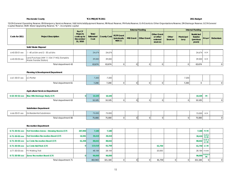#### **2011 Budget**

*\*GOR-General Operating Reserve; ER-Emergency Services Reserve; V&E-Vehicle&Equipment Reserve; RR-Road Reserve; PR-Parks Reserve; Gr.R-Grants to Other Organizations Reserve; DR-Drainage Reserve; GCR-General Capital Reserve; WUR- Water Upgrading Reserve; "IC" - incomplete capital*

|                |                                                                      | For CF                                          |                            |                    |                                           |                  | <b>External Funding</b> |                                                       |                         |                          | <b>Internal Funding</b>                                    |                                   |                  |
|----------------|----------------------------------------------------------------------|-------------------------------------------------|----------------------------|--------------------|-------------------------------------------|------------------|-------------------------|-------------------------------------------------------|-------------------------|--------------------------|------------------------------------------------------------|-----------------------------------|------------------|
| Code for 2011  | <b>Project Description</b>                                           | Projects<br>costs up to<br>December<br>31, 2010 | Total<br>Estimated<br>Cost | <b>County Cost</b> | <b>FGTF Grant</b><br>(previously<br>NDCC) | <b>MSI Grant</b> | <b>Other Grant</b>      | <b>Other Grant</b><br>or other<br>external<br>sources | Other<br><b>Sources</b> | <b>Municipal</b><br>Levy | <b>Restricted</b><br><b>Surplus</b><br>(previous<br>years) | RS-type*                          | <b>Debenture</b> |
|                | Solid Waste Disposal                                                 |                                                 |                            |                    |                                           |                  |                         |                                                       |                         |                          |                                                            |                                   |                  |
| 6-43-30-01-xxx | - 40 yd bin and 2 - 30 yd bins                                       |                                                 | 24,674                     | 24,674             |                                           |                  |                         |                                                       |                         |                          | 24,674                                                     | <b>GCR</b>                        |                  |
| 6-43-30-02-xxx | Land Purchase (NW 11-104-17-W5) (Tompkins<br>Waste Transfer Station) |                                                 | 39,000                     | 39,000             |                                           |                  |                         |                                                       |                         |                          | 39,000                                                     | <b>GCR</b>                        |                  |
|                | Total department 43                                                  |                                                 | 63,674                     | 63,674             | $\cal O$                                  | $\cal O$         | $\cal O$                | $\mathcal{O}$                                         |                         | $\mathcal{O}$            | 63,674                                                     |                                   | $\mathcal{C}$    |
|                |                                                                      |                                                 |                            |                    |                                           |                  |                         |                                                       |                         |                          |                                                            |                                   |                  |
|                | Planning & Development Department                                    |                                                 |                            |                    |                                           |                  |                         |                                                       |                         |                          |                                                            |                                   |                  |
| 6-61-30-01-xxx | LC-Plotter                                                           |                                                 | 7,200                      | 7,200              |                                           |                  |                         |                                                       |                         | 7,200                    |                                                            |                                   |                  |
|                | Total department 61                                                  |                                                 | 7,200                      | 7,200              | $\cal O$                                  | 0                | $\cal O$                | ${\cal O}$                                            |                         | 7,200                    | 0                                                          |                                   | $\mathcal{C}$    |
|                | <b>Agricultural Services Department</b>                              |                                                 |                            |                    |                                           |                  |                         |                                                       |                         |                          |                                                            |                                   |                  |
| 6-63-30-52-xxx | <b>Blue Hills Drainage Study (CF)</b>                                | $\overline{0}$                                  | 10,105                     | 10,105             |                                           |                  |                         |                                                       |                         |                          | 10,105                                                     | <b>DR</b>                         |                  |
|                | Total department 63                                                  |                                                 | 10,105                     | 10,105             | ${\cal O}$                                | 0                | ${\cal O}$              | ${\cal O}$                                            |                         | 0                        | 10,105                                                     |                                   | $\epsilon$       |
|                | <b>Subdivision Department</b>                                        |                                                 |                            |                    |                                           |                  |                         |                                                       |                         |                          |                                                            |                                   |                  |
| 6-66-30-01-xxx | ZA-Residential Subdivision                                           |                                                 | 75,000                     | 75,000             |                                           |                  |                         |                                                       |                         |                          | 75,000                                                     | GCR                               |                  |
|                | Total department 66                                                  |                                                 | 75,000                     | 75,000             | ${\cal O}$                                | 0                | $\cal O$                | $\cal O$                                              |                         | $\mathcal{O}$            | 75,000                                                     |                                   | $\epsilon$       |
|                | <b>Recreation Department</b>                                         |                                                 |                            |                    |                                           |                  |                         |                                                       |                         |                          |                                                            |                                   |                  |
| 6-71-30-01-xxx | Fort Vermilion Arena - Dressing Rooms (CF)                           | 267,850                                         | 7,180                      | 7,180              |                                           |                  |                         |                                                       |                         |                          | 7,180                                                      | <b>FV-RR</b>                      |                  |
| 6-71-30-02-xxx | <b>Fort Vermilion Recreation Board (CF)</b>                          | 16,581                                          | 39,419                     | 39,419             |                                           |                  |                         |                                                       |                         |                          | 39,419                                                     | <b>Gr.R &amp;</b><br><b>FV-RR</b> |                  |
| 6-71-30-03-xxx | La Crete Recreation Board (CF)                                       | 61,358                                          | 88,642                     | 88,642             |                                           |                  |                         |                                                       |                         |                          | 88,642                                                     | Gr.R. &<br><b>LC-RR</b>           |                  |
| 6-71-30-04-xxx | La Crete Ball Park (CF)                                              | $\overline{0}$                                  | 123,518                    | 61,759             |                                           |                  |                         | 61,759                                                |                         |                          | 61,759                                                     | <b>LC-RR</b>                      |                  |
| 6-71-30-05-xxx | FV Walking Trail                                                     |                                                 | 48,184                     | 28,184             |                                           |                  |                         | 20,000                                                |                         |                          | 28,184                                                     | <b>FVWTR</b>                      |                  |
| 6-71-30-06-xxx | <b>Zama Recreation Board (CF)</b>                                    | $\mathbf{0}$                                    | 96,000                     | 96,000             |                                           |                  |                         |                                                       |                         |                          | 96,000                                                     | Gr.R & Z<br><b>RR</b>             |                  |
|                | Total department 71                                                  |                                                 | 402,943                    | 321,184            | 0                                         | 0                | 0                       | 81,759                                                | $\overline{O}$          | $\overline{O}$           | 321,184                                                    | 0                                 | $\epsilon$       |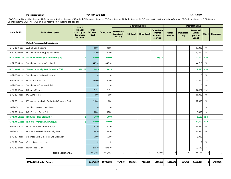#### **2011 Budget**

*\*GOR-General Operating Reserve; ER-Emergency Services Reserve; V&E-Vehicle&Equipment Reserve; RR-Road Reserve; PR-Parks Reserve; Gr.R-Grants to Other Organizations Reserve; DR-Drainage Reserve; GCR-General Capital Reserve; WUR- Water Upgrading Reserve; "IC" - incomplete capital*

|                          |                                               | For CF                                                 |                            |                    |                                           |                  | <b>External Funding</b> |                                                       |                         |                   | <b>Internal Funding</b>                             |           |                  |
|--------------------------|-----------------------------------------------|--------------------------------------------------------|----------------------------|--------------------|-------------------------------------------|------------------|-------------------------|-------------------------------------------------------|-------------------------|-------------------|-----------------------------------------------------|-----------|------------------|
| Code for 2011            | <b>Project Description</b>                    | Projects<br>costs up to<br><b>December</b><br>31, 2010 | Total<br>Estimated<br>Cost | <b>County Cost</b> | <b>FGTF Grant</b><br>(previously<br>NDCC) | <b>MSI Grant</b> | <b>Other Grant</b>      | <b>Other Grant</b><br>or other<br>external<br>sources | Other<br><b>Sources</b> | Municipal<br>Levy | <b>Restricted</b><br>Surplus<br>(previous<br>years) | RS-type*  | <b>Debenture</b> |
|                          | Parks & Playgrounds Department                |                                                        |                            |                    |                                           |                  |                         |                                                       |                         |                   |                                                     |           |                  |
| 6-72-30-01-xxx           | ZA-Park Landscaping                           |                                                        | 10,000                     | 10,000             |                                           |                  |                         |                                                       |                         |                   | 10,000                                              | <b>PR</b> |                  |
| 6-72-30-02-xxx           | LC-La Crete Walking Trails Overlay            |                                                        | 70,400                     | 70,400             |                                           |                  |                         |                                                       |                         |                   | 70,400                                              | PR        |                  |
| 6-72-30-03-xxx           | Water Spray Park (Fort Vermilion) (CF)        | $\mathbf 0$                                            | 80,000                     | 40,000             |                                           |                  |                         | 40,000                                                |                         |                   | 40,000                                              | $IC-R$    |                  |
| 6-72-30-04-xxx           | Wadlin Lake Beach Construction                |                                                        | 44,710                     | 44,710             |                                           |                  |                         |                                                       |                         |                   | 44,710                                              | PR        |                  |
| 6-72-30-05-xxx           | Zama Community Park Expansion (CF)            | 334,276                                                | 9,825                      | 9,825              |                                           |                  |                         |                                                       |                         |                   | 9,825                                               | $IC-R$    |                  |
| 6-72-30-06-xxx           | Wadlin Lake Site Development                  |                                                        | $\circ$                    | $\mathbf{0}$       |                                           |                  |                         |                                                       |                         |                   | $\Omega$                                            | <b>PR</b> |                  |
| 6-72-30-07-xxx           | LC-Bobcat Tool cat                            |                                                        | 45,000                     | 45,000             |                                           |                  |                         |                                                       |                         |                   | 45,000                                              | V&E       |                  |
| 6-72-30-08-xxx           | Wadlin Lake Concrete Toilet                   |                                                        | $\circ$                    | $\mathbf{0}$       |                                           |                  |                         |                                                       |                         |                   | $\Omega$                                            | <b>PR</b> |                  |
| 6-72-30-09-xxx           | LC-Lawn Mower                                 |                                                        | 19,494                     | 19,494             |                                           |                  |                         |                                                       |                         |                   | 19,494                                              | V&E       |                  |
| 6-72-30-10-xxx           | LC-Dump Trailer                               |                                                        | 11,000                     | 11,000             |                                           |                  |                         |                                                       |                         |                   | 11,000                                              | PR        |                  |
| 6-72-30-11-xxx           | FV - Mackenzie Park - Basketball Concrete Pad |                                                        | 21,000                     | 21,000             |                                           |                  |                         |                                                       |                         |                   | 21,000                                              | <b>PR</b> |                  |
| 6-72-30-12-xxx           | Wadlin Playground Additions                   |                                                        | $\circ$                    | $\mathbf{0}$       |                                           |                  |                         |                                                       |                         |                   | $\Omega$                                            | PR        |                  |
| 6-72-30-13-xxx           | LC-LC Arena Swing Set                         |                                                        | 5,000                      | 5,000              |                                           |                  |                         |                                                       |                         |                   | 5,000                                               | <b>PR</b> |                  |
| $6 - 72 - 30 - 14 - XXX$ | RV Dump - Hutch Lake (CF)                     | $\mathbf 0$                                            | 6,600                      | 6,600              |                                           |                  |                         |                                                       |                         |                   | 6,600                                               | $IC-R$    |                  |
| 6-72-30-15-xxx           | La Crete - Water Spray Park (CF)              | $\mathbf{0}$                                           | 60,000                     | 60,000             |                                           |                  |                         |                                                       |                         |                   | 60,000                                              | $IC-R$    |                  |
| 6-72-30-16-xxx           | <b>LC-LC Hill Park Concrete Toilet</b>        |                                                        | 18,320                     | 18,320             |                                           |                  |                         |                                                       |                         |                   | 18,320                                              | <b>PR</b> |                  |
| 6-72-30-17-xxx           | LC-108 Street Park Fence & Lighting           |                                                        | 16,850                     | 16,850             |                                           |                  |                         |                                                       |                         |                   | 16,850                                              | PR        |                  |
| 6-72-30-18-xxx           | Machesis Lake-Caretaker Site Expansion        |                                                        | 5,000                      | 5,000              |                                           |                  |                         |                                                       |                         |                   | 5,000                                               | <b>PR</b> |                  |
| 6-72-30-19-xxx           | Gate at Machesis Lake                         |                                                        | $\circ$                    | $\Omega$           |                                           |                  |                         |                                                       |                         |                   | $\Omega$                                            | <b>PR</b> |                  |
| 6-72-30-20-xxx           | Hutch Lake - Stairs                           |                                                        | 20,540                     | 20,540             |                                           |                  |                         |                                                       |                         |                   | 20,540                                              | PR        |                  |
|                          | Total department 72                           |                                                        | 443,739                    | 403,739            | $\Omega$                                  | $\Omega$         | $\Omega$                | 40,000                                                | $\Omega$                | $\Omega$          | 403,739                                             | $\Omega$  | $\mathcal{O}$    |

| TOTAL 2011 Capital Projects | 38,676,559 | 24,736,102 | 717,840 | 3,033,344 | 521.696 | - 666,537, | 1,001,040 | 324,701 | 6,831,237 | ΩI | 17,580,164 |
|-----------------------------|------------|------------|---------|-----------|---------|------------|-----------|---------|-----------|----|------------|
|-----------------------------|------------|------------|---------|-----------|---------|------------|-----------|---------|-----------|----|------------|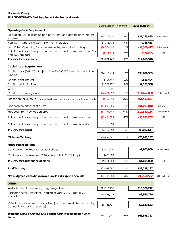#### **2011 BUDGET DRAFT - Cash Requirement (decision worksheet)**

|                                                                                                         | 2010 Budget % change |        | 2011 Budget    |                   |
|---------------------------------------------------------------------------------------------------------|----------------------|--------|----------------|-------------------|
| <b>Operating Cash Requirement</b>                                                                       |                      |        |                |                   |
| Operating Cost (excluding non-cash items and capital debt interest<br>expense)                          | \$19,100,610         | 14%    | \$21,755,825   | Schedule A-2      |
| Non-TCA - Operating Costs (Non-TCA Projects List)                                                       | \$1,316,763          | $-40%$ | \$785,433      |                   |
| Less: Other Operating Revenue (excluding municipal tax levy)                                            | (\$4,334,610)        | 5%     | (\$4,566,417)  | Schedule A-1      |
| Anticipated draw from prior year accumulated surplus - restricted (for<br>Non-TCA projects)             | $($ \$211,514)       | 53%    | (\$324, 295)   | (1)               |
| Tax levy for operations                                                                                 | \$15,871,249         | 11%    | \$17,650,546   |                   |
| <b>Capital Cash Requirements</b>                                                                        |                      |        |                |                   |
| Capital costs (2011 TCA Project List + 2010 CF TCA requiring additional<br>funding)                     | \$24,118,414         | 60%    | \$38,676,559   |                   |
| Capital debt interest                                                                                   | \$456,697            | 22%    | \$556,404      |                   |
| Capital debt principle                                                                                  | \$1,709,972          | 24%    | \$2,121,536    |                   |
| Less:                                                                                                   | \$0                  |        |                |                   |
| Capital revenue - grants                                                                                | (\$6,681,522]        | 71%    | (\$11,457,860) | Schedule B        |
| Other capital revenue (community, developer's contributions; contributed assets)                        | (\$409,798)          | 262%   | (\$1,481,557)  |                   |
| Proceeds on disposal of assets                                                                          | (\$1,067,585)        | -6%    | (\$1,001,040)  | Schedule D        |
| Proceeds from new debentures                                                                            | (\$3,726,766)        | 372%   | (\$17,580,164) | Schedule E        |
| Anticipated draw from prior year accumulated surplus - restricted                                       | $($ \$9,634,574)     | $-29%$ | ( \$6,831,237) | (2)               |
| Anticipated draw from prior year accumulated surplus - unrestricted                                     | \$0                  |        |                |                   |
| Tax levy for capital                                                                                    | \$4,764,838          | $-37%$ | \$3,002,641    |                   |
| Minimum Tax Levy                                                                                        | \$20,636,087         | 0%     | \$20,653,187   |                   |
| <b>Future Financial Plans</b>                                                                           |                      |        |                |                   |
| Contributions to Reserves as per Policies                                                               | \$1,915,000          |        | \$1,605,000    | Schedule C        |
| Contributions to Reserves (2009 - disposal of LC PW Shop)                                               | \$496,000            |        |                |                   |
| Tax levy for future financial plans                                                                     | \$2,411,000          | -33%   | \$1,605,000    | (3)               |
| <b>Total Tax Levy</b>                                                                                   | \$23,047,087         | $-3%$  | \$22,258,187   |                   |
| Net budgeted cash draw on accumulated surplus accounts                                                  | ( \$7,435,088)       | $-25%$ | (\$5,550,532)  | $(1) + (2) + (3)$ |
| OTHER:                                                                                                  |                      |        |                |                   |
| Restricted surplus (reserves), beginning of year                                                        | \$15,910,230         |        | \$15,526,272   |                   |
| Restricted surplus (reserves), ending of year (2010 - actual; 2011 -<br>estimated)                      | \$15,526,272         |        | \$9,975,740    |                   |
| 20% of the total allowable debt limit (the benchmark that was set by<br>Council in respect to reserves) | \$8,446,471          |        | \$8,639,653    |                   |
| Total budgeted operating and capital costs (excluding non-cash<br>items)                                | \$46,702,457         | 37%    | \$63,895,757   |                   |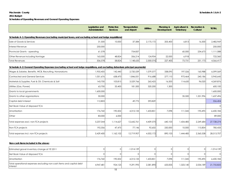#### **2011 Budget**

**Schedules of Operating Revenues and General Operating Expenses**

|                                                                                                                                | Legislative and<br>Administration | Protective<br><b>Services</b> | Transportation<br>and Airport | <b>Utilities</b> | Planning &<br>Development | <b>Agricultural &amp;</b><br>Veterinary | <b>Recreation &amp;</b><br>Cultural | <b>TOTAL</b> |
|--------------------------------------------------------------------------------------------------------------------------------|-----------------------------------|-------------------------------|-------------------------------|------------------|---------------------------|-----------------------------------------|-------------------------------------|--------------|
| Schedule A-1: Operating Revenues (excluding municipal taxes, and excluding school and lodge requisitions)                      |                                   |                               |                               |                  |                           |                                         |                                     |              |
| Sale of Goods & Services                                                                                                       | 31,500                            | 10,000                        | 37,584                        | 2,175,172        | 205,400                   | 6,813                                   | 16,500                              | 2,482,969    |
| Interest Revenue                                                                                                               | 250,000                           |                               |                               |                  |                           |                                         |                                     | 250,000      |
| Provincial Grants - operating                                                                                                  | 61,578                            |                               | 754,837                       |                  |                           | 60,000                                  | 234,673                             | 1,111,088    |
| Other Revenue including frontage                                                                                               | 163,500                           | 48,824                        | 356,214                       | 124,904          | 22,000                    | 6,918                                   |                                     | 722,360      |
| <b>Total Revenues</b>                                                                                                          | 506,578                           | 58,824                        | 1,148,635                     | 2.300.076        | 227,400                   | 73,731                                  | 251,173                             | 4,566,417    |
| Schedule A-2: General Operating Expenses (excluding school and lodge requisitions, and excluding debenture principal payments) |                                   |                               |                               |                  |                           |                                         |                                     |              |
| Wages & Salaries, Benefits, WCB, Recruiting, Honorariums                                                                       | 1,955,405                         | 142,440                       | 2,720,539                     | 1,079,577        | 338,095                   | 197,526                                 | 165,988                             | 6,599,569    |
| Contracted and General Services                                                                                                | 1,051,676                         | 638,470                       | 1,846,051                     | 916,688          | 277,110                   | 975,464                                 | 240,186                             | 5,945,645    |
| Materials & Supplies, Fuel & Oil, Chemicals & Salt                                                                             | 143,700                           | 103,815                       | 3,529,766                     | 265,425          | 16,500                    | 114,650                                 | 96,020                              | 4,269,876    |
| Utilities (Gas, Power)                                                                                                         | 63,700                            | 33,400                        | 181,500                       | 320,200          | 1,300                     |                                         |                                     | 600,100      |
| Grants to local governments                                                                                                    | 1,600,000                         |                               |                               |                  |                           |                                         |                                     | 1,600,000    |
| Grants to other organizations                                                                                                  | 50,000                            |                               |                               |                  |                           | 35,500                                  | 1,551,996                           | 1,637,496    |
| Capital debt interest                                                                                                          | 112,803                           |                               | 49,772                        | 393,829          |                           |                                         |                                     | 556,404      |
| Net Book Value of disposed TCA                                                                                                 |                                   |                               |                               |                  |                           |                                         |                                     | $\Omega$     |
| Amortization                                                                                                                   | 176,760                           | 190,502                       | 4,315,133                     | 1,433,851        | 7,098                     | 111,345                                 | 195,495                             | 6,430,184    |
| Other                                                                                                                          | 83,000                            | 6,000                         |                               |                  |                           |                                         |                                     | 89,000       |
| Total expenses excl. non-TCA projects                                                                                          | 5,237,044                         | 1,114,627                     | 12,642,761                    | 4,409,570        | 640,103                   | 1,434,485                               | 2,249,684                           | 27,728,274   |
| Non-TCA projects                                                                                                               | 192,356                           | 47,475                        | 77,146                        | 92,602           | 250,000                   | 10,000                                  | 115,854                             | 785,433      |
| Total expenses incl. non-TCA projects                                                                                          | 5,429,400                         | 1,162,102                     | 12,719,907                    | 4,502,172        | 890,103                   | 1,444,485                               | 2,365,538                           | 28,513,707   |

#### *Non-cash items included in the above:*

| Estimated gravel inventory change at YE 2011                                      |           |         | $-1.014.139$ |           |         |          |           | $-1,014,139$ |
|-----------------------------------------------------------------------------------|-----------|---------|--------------|-----------|---------|----------|-----------|--------------|
| Net Book Value of disposed TCA                                                    |           |         |              |           |         |          |           |              |
| Amortization                                                                      | 176.760   | 190.502 | 4.315.133    | .433.851  | 7.098   | 111.345  | 195.495   | 6.430.184    |
| Total operational expenses excluding non-cash items and capital debt<br>linterest | 4.947.481 | 924.125 | 9.291.995    | 2.581.890 | 633,005 | .323.140 | 2.054.189 | 21,755,825   |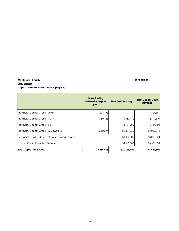## **Mackenzie County Schedule B 2011 Budget Capital Grant Revenues (for TCA projects)**

|                                                   | <b>Grant funding</b><br>deferred from prior<br>year | New 2011 Funding | <b>Total Capital Grant</b><br>Revenue |
|---------------------------------------------------|-----------------------------------------------------|------------------|---------------------------------------|
| <b>Provincial Capital Grants - AMIP</b>           | \$21,696                                            |                  | \$21,696                              |
| Provincial Capital Grants - FGTF                  | \$160,428                                           | \$557,412        | \$717,840                             |
| Provincial Capital Grants - SIP                   |                                                     | \$184,980        | \$184,980                             |
| Provincial Capital Grants - MSI (Capital)         | \$152,294                                           | \$2,881,050      | \$3,033,344                           |
| Provincial Capital Grants - Resource Road Program |                                                     | \$3,000,000      | \$3,000,000                           |
| Federal Capital Grants - P3 Canada                |                                                     | \$4,500,000      | \$4,500,000                           |
| <b>Total Capital Revenues</b>                     | \$334,418                                           | \$11,123,442     | \$11,457,860                          |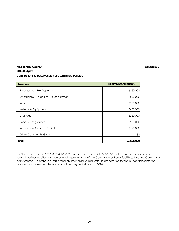## **Schedule C**

## **Mackenzie County 2011 Budget Contributions to Reserves as per established Policies**

| <b>Reserves</b>                             | <b>Minimal contribution</b> |
|---------------------------------------------|-----------------------------|
| <b>Emergency - Fire Department</b>          | \$150,000                   |
| <b>Emergency - Tompkins Fire Department</b> | \$50,000                    |
| Roads                                       | \$500,000                   |
| Vehicle & Equipment                         | \$485,000                   |
| Drainage                                    | \$250,000                   |
| Parks & Playgrounds                         | \$50,000                    |
| Recreation Boards - Capital                 | \$120,000                   |
| <b>Other Community Grants</b>               | \$0                         |
| Total                                       | \$1,605,000                 |

(1) Please note that in 2008,2009 & 2010 Council chose to set aside \$120,000 for the three recreation boards towards various capital and non-capital improvements of the County recreational facilities. Finance Committee administered use of these funds based on the individual requests. In preparation for this budget presentation, administration assumed the same practice may be followed in 2010.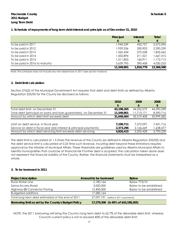### **Mackenzie County** Schedule E **2011 Budget Long Term Debt**

### **1. Schedule of repayments of long term debt interest and principle as of December 31, 2010**

|                                | Principal  | <b>Interest</b> | Total          |
|--------------------------------|------------|-----------------|----------------|
|                                |            |                 | $\mathfrak{L}$ |
| to be paid in 2011             | 1,940,539  | 432,757         | 2,373,296      |
| to be paid in 2012             | 1,939,336  | 350,903         | 2,290,239      |
| to be paid in 2013             | 1,562,434  | 270,228         | 1,832,662      |
| To be paid in 2014             | 1,455,894  | 211,521         | 1,667,415      |
| To be paid in 2015             | 1,011,803  | 160.911         | 1,172,715      |
| To be paid in 2016 to maturity | 3,639,795  | 390,458         | 4,030,253      |
|                                | 11,549,801 | 1,816,779       | 13,366,580     |

Note: This schedule does not include any new debentures in 2011 (see section 4 below)

#### **2. Debt limit calculation**

Section 276(2) of the Municipal Government Act requires that debt and debt limits as defined by Alberta Regulation 255/00 for the County be disclosed as follows:

|                                                                     | 2010       | 2009       | 2008       |
|---------------------------------------------------------------------|------------|------------|------------|
|                                                                     | \$         |            | \$         |
| Total debt limit, on December 31                                    | 43,198,265 | 44,232,579 | 44,590,298 |
| Total debt (principal on loans and loan guarantees), on December 31 | 11,549,801 | 11,713,171 | 8,590,716  |
| Amount by which debt limit exceeds debt                             | 31,648,464 | 32,519,408 | 35,999,582 |
|                                                                     |            |            |            |
| Limit on debt service, in fiscal year                               | 7,199,711  | 7,372,097  | 7.431.716  |
| Service on debt in fiscal year (are interest & principal payments)  | 2,373,296  | 2,166,669  | 1,638,477  |
| Amount by which debt servicing limit exceeds debt servicing         | 4,826,415  | 5,205,428  | 5,793,239  |

The debt limit is calculated at 1.5 times the revenue of the County (as defined in Alberta Regulation 255/00) and the debt service limit is calculated at 0.25 time such revenue. Incurring debt beyond these limitations requires approval by the Minister of Municipal Affairs. These thresholds are guidelines used by Alberta Municipal Affairs to identify municipalities that could be at financial risk if further debt is acquired. The calculation taken alone does not represent the financial stability of the County. Rather, the financial statements must be interpreted as a whole.

### **3. To be borrowed in 2011**

| <b>Project description</b>                           | Amount to be borrowed               | <b>Bylaw</b>            |
|------------------------------------------------------|-------------------------------------|-------------------------|
| <b>Rural Water Line</b>                              | 2,180,164                           | Bylaw 772/10            |
| Zama Access Road                                     | 3,000,000                           | Bylaw to be established |
| Highway 88 Connector Paving                          | 12,400,000                          | Bylaw to be established |
| <b>Budgeted additions</b>                            | 17,580,164                          |                         |
| Total long term debt estimated at the end of 2011    | 27,097,731 (reflects 2011 payments) |                         |
| Borrowing limit as set by the County's Budget Policy | 17,279,306 (is 40% of \$43,198,265) |                         |

NOTE: The 2011 borrowing will bring the County's long term debt to 62.7% of the allowable debt limit, whereas Council's current policy is not to exceed 40% of the allowable debt limit.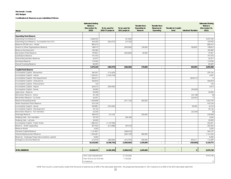#### **2011 Budget**

**Contributions to Reserves as per established Policies**

|                                                 | <b>Estimated Ending</b><br>Balance<br>(December 31,<br>2010) | To be used for<br>2010 CF projects | To be used for<br>2011 projects | Transfer from<br>Operating to<br>Reserve | <b>Transfer from</b><br><b>Reserves to</b> | <b>Transfer to Capital</b><br>Fund | <b>Interfund Transfers</b> | <b>Estimated Ending</b><br>Balance<br>(December 31,<br>2011) |
|-------------------------------------------------|--------------------------------------------------------------|------------------------------------|---------------------------------|------------------------------------------|--------------------------------------------|------------------------------------|----------------------------|--------------------------------------------------------------|
| Name                                            |                                                              |                                    |                                 |                                          | Operating                                  |                                    |                            |                                                              |
| <b>Operating Fund Reserve</b>                   |                                                              |                                    |                                 |                                          |                                            |                                    |                            |                                                              |
| Operating Fund Reserve                          | 3,068,953                                                    |                                    | (31,020)                        |                                          |                                            |                                    |                            | 3,037,933                                                    |
| Operating Fund Reserve - incomplete Non-TCA     | 454,230                                                      | (304, 575)                         | (19, 720)                       |                                          |                                            |                                    |                            | 129,935                                                      |
| Reserve-Off Site Levy - Water                   | 800,613                                                      |                                    |                                 |                                          |                                            |                                    |                            | 800,613                                                      |
| Grants to Other Organizations Reserve           | 188,919                                                      |                                    | (293,000)                       | 120,000                                  |                                            |                                    | 182,893                    | 198,812                                                      |
| Reserve-Development                             | 183,585                                                      |                                    |                                 |                                          |                                            |                                    |                            | 183,585                                                      |
| Recreation-Parks Reserve                        | 199,821                                                      |                                    | (222, 820)                      | 50,000                                   |                                            |                                    |                            | 27,001                                                       |
| Subdivisions Reserve                            | 197,473                                                      |                                    |                                 |                                          |                                            |                                    |                            | 197,473                                                      |
| <b>Gravel Reclamation Reserves</b>              | 22,377                                                       |                                    |                                 |                                          |                                            |                                    |                            | 22,377                                                       |
| Municipal Reserve                               | 174,930                                                      |                                    |                                 |                                          |                                            |                                    |                            | 174,930                                                      |
| <b>Gravel Crushing Reserve</b>                  | 83,309                                                       |                                    |                                 |                                          |                                            |                                    |                            | 83,309                                                       |
|                                                 | 5,374,210                                                    | (304, 575)                         | (566, 560)                      | 170,000                                  | $\mathcal{L}_{\mathcal{A}}$                | $\sim$                             | 182,893                    | 4,855,968                                                    |
| <b>Capital Fund Reserve</b>                     |                                                              |                                    |                                 |                                          |                                            |                                    |                            |                                                              |
| Incomplete Capital - Recreation                 | 345,591                                                      | (116, 425)                         |                                 |                                          |                                            |                                    |                            | 229,166                                                      |
| Incomplete Capital - Admin                      | 1,250,651                                                    | (1, 245, 744)                      |                                 |                                          |                                            |                                    |                            | 4,907                                                        |
| Incomplete Capital - Fire Department            | 204,211                                                      |                                    |                                 |                                          |                                            |                                    | (204, 211)                 | $\circ$                                                      |
| Incomplete Capital - Ambulance                  | 346,818                                                      |                                    |                                 |                                          |                                            |                                    |                            | 346,818                                                      |
| Incomplete Capital - Enforcement                | 123                                                          |                                    |                                 |                                          |                                            |                                    |                            | 123                                                          |
| Incomplete Capital - Airport                    | 203,015                                                      | (200,000)                          |                                 |                                          |                                            |                                    |                            | 3,015                                                        |
| Incomplete Capital - Sewer                      | 35,000                                                       |                                    |                                 |                                          |                                            |                                    | (35,000)                   | $\omega$                                                     |
| Agriculture - Reserve                           | 50,000                                                       |                                    |                                 |                                          |                                            |                                    |                            | 50,000                                                       |
| Recreation Reserve - Zama                       | 52,148                                                       |                                    |                                 |                                          |                                            |                                    | (52, 148)                  | (0)                                                          |
| Recreation Reserve - La Crete                   | 65,401                                                       |                                    |                                 |                                          |                                            |                                    | (65, 401)                  | $\Omega$                                                     |
| Reserve-Roads(General)                          | 1,033,828                                                    |                                    | (471, 124)                      | 500,000                                  |                                            |                                    |                            | 1,062,704                                                    |
| Water Treatment Plant Reserve                   | 410,104                                                      |                                    |                                 |                                          |                                            |                                    |                            | 410,104                                                      |
| Incomplete Capital - Sewer                      | 330,881                                                      | (372,602)                          |                                 |                                          |                                            |                                    | 35,000                     | (6, 721)                                                     |
| Incomplete Capital - Development                | 45,146                                                       |                                    |                                 |                                          |                                            |                                    |                            | 45,146                                                       |
| Recreation Reserve - Fort Vermilion             | 65,344                                                       |                                    |                                 |                                          |                                            |                                    | (65, 344)                  | (0)                                                          |
| Drainage Reserve                                | 438,473                                                      | (10, 105)                          |                                 | 250,000                                  |                                            |                                    |                            | 678,368                                                      |
| Walking Trails - Fort Vermillion                | 33,729                                                       |                                    | (28, 184)                       |                                          |                                            |                                    |                            | 5,545                                                        |
| Walking Trails - LaCrete                        | 20,000                                                       |                                    |                                 |                                          |                                            |                                    |                            | 20,000                                                       |
| Incomplete Capital - Public Works               | 1,382,341                                                    | (1, 147, 920)                      |                                 |                                          |                                            |                                    |                            | 234,421                                                      |
| Reserve - Water Upgrading                       | 857,925                                                      | (615,088)                          | (39, 572)                       |                                          |                                            |                                    |                            | 203,265                                                      |
| Reserve-Waste                                   | 3,332                                                        |                                    |                                 |                                          |                                            |                                    |                            | 3,332                                                        |
| General Capital Reserve                         | 1,131,801                                                    |                                    | (568, 674)                      |                                          |                                            |                                    |                            | 563,127                                                      |
| Vehicle Replacement Reserve                     | 1,225,681                                                    |                                    | (569, 139)                      | 485,000                                  |                                            |                                    |                            | 1,141,542                                                    |
| Reserves - Garbage Projects(incomplete capital) | 8,500                                                        |                                    |                                 |                                          |                                            |                                    |                            | 8,500                                                        |
| <b>Emergency Services Reserves</b>              | 612,018                                                      | (482, 850)                         | (416,970)                       | 200,000                                  |                                            |                                    | 204,211                    | 116,409                                                      |
|                                                 | 10,152,062                                                   | (4, 190, 734)                      | (2,093,663)                     | 1,435,000                                | ÷                                          | $\sim$                             | (182, 893)                 | 5,119,772                                                    |
|                                                 |                                                              |                                    |                                 |                                          |                                            |                                    |                            |                                                              |
| <b>TOTAL RESERVES</b>                           | 15,526,272                                                   | (4, 495, 309)                      | (2,660,223)                     | 1,605,000                                |                                            |                                    | $\mathbf 0$                | 9,975,740                                                    |
|                                                 |                                                              |                                    |                                 |                                          |                                            |                                    |                            |                                                              |
|                                                 | from cash requirement:                                       |                                    | (7, 155, 532)                   |                                          |                                            |                                    |                            | 9,975,740                                                    |
|                                                 | from TCA & non-TCA lists                                     |                                    | 7,155,532                       |                                          |                                            |                                    |                            |                                                              |

NOTE: The County's current policy states that the level of reserves be at 20% of the allowable debt limit. The projected December 31, 2011 balance is at 22% of the 2010 allowable debt limit.

in balance and the contract of the contract of the contract of the contract of the contract of the contract of the contract of the contract of the contract of the contract of the contract of the contract of the contract of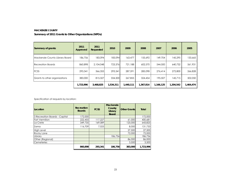#### **MACKENZIE COUNTY**

#### **Summary of 2011 Grants to Other Organizations (NPOs)**

| Summary of grants:             | 2011<br>Approved | 2011<br>Requested | 2010      | 2009      | 2008      | 2007      | 2006      | 2005      |
|--------------------------------|------------------|-------------------|-----------|-----------|-----------|-----------|-----------|-----------|
| Mackenzie County Library Board | 186,756          | 183,094           | 183,094   | 163,477   | 155,692   | 149,704   | 145,295   | 133,665   |
| <b>Recreation Boards</b>       | 860.898          | 2.104.048         | 723,376   | 721.188   | 602,570   | 544,500   | 640.732   | 561,931   |
| <b>FCSS</b>                    | 293,341          | 366,355           | 293,341   | 287.591   | 285,098   | 276.414   | 272,800   | 266,828   |
| Grants to other organizations  | 383,000          | 815,327           | 334,500   | 267.855   | 324,454   | 195,507   | 145,715   | 502,050   |
|                                | 1,723,996        | 3,468,825         | 1,534,311 | 1,440,111 | 1,367,814 | 1.166.125 | 1,204,542 | 1,464,474 |

Specification of requests by location:

| Location                      | Recreation<br><b>Boards</b> | <b>FCSS</b> | <b>Mackenzie</b><br>County<br>Library<br><b>Board</b> | <b>Other Grants</b> | Total     |
|-------------------------------|-----------------------------|-------------|-------------------------------------------------------|---------------------|-----------|
| 3 Recreation Boards - Capital | 172,000                     |             |                                                       |                     | 172,000   |
| Fort Vermilion                | 222,455                     | 117,227     |                                                       | 61,000              | 400,681   |
| La Crete                      | 349,735                     | 169.089     |                                                       | 125,000             | 643,825   |
| Zama                          | 116,709                     | 7.025       |                                                       | 8,000               | 131,733   |
| <b>High Level</b>             |                             |             |                                                       | 27,500              | 27,500    |
| Rocky Lane                    |                             |             |                                                       | 72,000              | 72,000    |
| Library                       |                             |             | 186,756                                               |                     | 186.756   |
| Other (Regional)              |                             |             |                                                       | 86,000              | 86,000    |
| Cemeteries                    |                             |             |                                                       | 3,500               | 3,500     |
|                               | 860,898                     | 293,341     | 186,756                                               | 383,000             | 1.723.996 |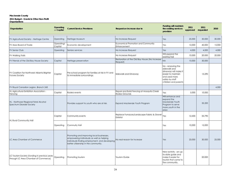**2011 Budget - Grants to Other Non-Profit Organizations**

**Construction Construction Construction Construction Construction Construction Construction Construction Construction Construction Construction Construction Construction Construction Construction Construction Construction Current Service Provisions Request an increase due to Funding will maintain the existing services provision 2011 approved requested <sup>2010</sup> 2011**  FV Agricultural Society - Heritage Centre Operating Heritage Museum No Increase Request Yes 25,000 30,000 30,000 30,000 30,000 FV Area Board of Trade **Fig. 1996**<br>Capital Economic development **Example 2018** Economical Promotion and Community Enhancement Community Pes 12,000 40,000 15,000 FV Senior Club Operating Seniors services No Increase Request No Increase Request No Increase Request And Media A,000 4,000 4,000 4,000 4,000 4,000 4,000 4,000 4,000 4,000 4,000 4,000 5 4,000 5 4,000 5 4,000 5 4,000 5 4,00 FV Walking Trails No Increase Request No Increase Request No Increase Request No Increase Request No Increase Request No Increase Request No Increase Request No Increase Request No Increase Request No Increase Request No I Will expand the  $\begin{vmatrix} 10,000 & 20,000 \\ 20,000 & 20,000 \end{vmatrix}$  20,000 FV Friends of the Old Bay House Society Capital Heritage preservation Restoration Restoration of the Old Bay House (No Increase  $\text{Request}$   $\text{Request}$ FV Coalition Far Northwest Alberta Brighter **Funtainable Pre-school program for families at risk in FV and Capital** its immediate surroundings. Sidewalk and Driveway No - renewing the sidewalk and driveway will make it easier to maintain and used more safely by staff children and parents 15,290 FV Royal Canadian Legion, Branch 243 4,000 HL Agricultural Exhibition Association - HL Agricultural Exhibition Association - Capital Rodeo events Repair and Build Fencing at Mosquito Creek<br>Fencing Rodeo Grounds Repair and build rencing at Mosquito Creek<br>Rodeo Grounds the State of Mosquito Creek<br> $\begin{bmatrix} Y_{\text{ES}} & 5,000 \\ 0.000 & 10,000 \end{bmatrix}$ HL - Northwest Regional Fetal Alcohol Spectrum Disorder Society **Provides support to youth who are at risk.** Expand Mackenzie Youth Program Spectrum Disorder Society Will enhance and expand the Mackenzie Youth Program to serve more youth in the area 35,200 Capital Community events and Replace Furnaces/Landscape Fabric & Gravel Exterior Material Contracts (Nesterior Mesicones de la 12,500 | 35,790 | 35,790 | 35,790 | 35,790 | 35,790 |  $\frac{12,500}{12,500}$  | 35,790 | 35,790 | 35,790 | 35,790 | 35,790 | 35,790 | 35,790 | 35,790 | 35,790 | 35,790 | 3 Operating Commuity Hall Yes 10,000 15,000 LC Area Chamber of Commerce Promoting and improving local businesses, empowering individuals as well as helping individuals finding employment, and developing better citizenship in the community. No real reason for increase  $Y$ es 23,000 30,000 25,000 LC Tourism Society (funding in previous years LC Tourism society (funding in previous years | Operating | Promoting tourism<br>through LC Area Chamber of Commerce) | Operating | Promoting tourism | Transmism | Tourism Guide | New activity - an upto-date guide and make it easier for tourists that come to the community. 20,000 HL Rural Community Hall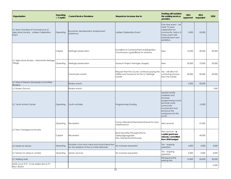| Organization                                                                           | Operating<br>or Capital | <b>Current Service Provisions</b>                                                              | Request an increase due to                                                                                                 | <b>Funding will maintain</b><br>the existing services<br>provision                                                                                              | 2011<br>approved | 2011<br>requested | 2010   |
|----------------------------------------------------------------------------------------|-------------------------|------------------------------------------------------------------------------------------------|----------------------------------------------------------------------------------------------------------------------------|-----------------------------------------------------------------------------------------------------------------------------------------------------------------|------------------|-------------------|--------|
| LC Area Chamber of Commerce & LC<br>Agriculture Society - Jubilee Celebration<br>Event | Operating               | Economic development; employment<br>assistance                                                 | Jubilee Celebration Event                                                                                                  | One time event - will<br>mark 75 years<br>celebration for<br>community, hold a 2-<br>3 day event with<br>entertainment and<br>exhibition.                       | 5,000            | 25,000            |        |
|                                                                                        | Capital                 | Heritage preservation                                                                          | Surveillance Cameras/Paint buildings/Sea<br>Can/Museum gate/Blinds for windows                                             | <b>New</b>                                                                                                                                                      | 10,000           | 40,500            | 20,000 |
| LC Agricultural Society - Mennonite Heritage<br>Village                                | Operating               | Heritage preservation                                                                          | Museum Project Manager (wages)                                                                                             | <b>New</b>                                                                                                                                                      | 35,000           | 75,000            | 35,000 |
|                                                                                        |                         | Community events                                                                               | Request that the County continues paying the Yes - will allow for<br>utilities and insurance for the LC Heritage<br>Centre | continuing services<br>from the Centre                                                                                                                          | 30,000           | 30,000            | 30,000 |
| LC Field of Dreams Stampede Committee<br>(Rodeo)                                       |                         | Rodeo events                                                                                   |                                                                                                                            |                                                                                                                                                                 | 5,000            | 50,000            |        |
| LC Rodeo Ground                                                                        |                         | Rodeo events                                                                                   |                                                                                                                            |                                                                                                                                                                 |                  |                   | 1,500  |
| LC Youth Activity Centre                                                               | Operating               | Youth activities                                                                               | Programming Funding                                                                                                        | Update facility<br>materials and<br>increase<br>programming would<br>promote more<br>community<br>involvement and<br>enhance the<br>workspace for the<br>youth. |                  | 15,000            |        |
|                                                                                        | Operating               | Recreation                                                                                     | Camp Attendant/Generator/Gravel for road<br>maintenance                                                                    | New services                                                                                                                                                    |                  | 57,000            |        |
| LC Ferry Campground Society                                                            | Capital                 | Recreation                                                                                     | Boat Dock/Fire Pits/Lights/Picnic<br>Tables/Signage/Site<br>Dev./Generator/Outhouses                                       | New services - a<br>capital grant was<br>already committed<br>from 2010 budget                                                                                  |                  | 40,000            |        |
| LC Meals for Seniors                                                                   | Operating               | Provides a hot noon meal and social interaction<br>for the residents of the La Crete Altenhein | No increase requested                                                                                                      | Yes - ongoing<br>operation                                                                                                                                      | 4,000            | 4,000             | 4,000  |
| LC Seniors Inn (drop-in centre)                                                        | Operating               | Seniors services                                                                               | No increase requested                                                                                                      | Yes - ongoing<br>operation                                                                                                                                      | 3,000            | 3,000             | 3,000  |
| LC Walking Trails                                                                      |                         |                                                                                                |                                                                                                                            | Will expand the<br>existing trail                                                                                                                               | 10,000           | 20,000            | 20,000 |
| Métis Local #74 - to be redirected to FV<br>Recr. Board                                |                         |                                                                                                |                                                                                                                            |                                                                                                                                                                 |                  |                   | 5,500  |